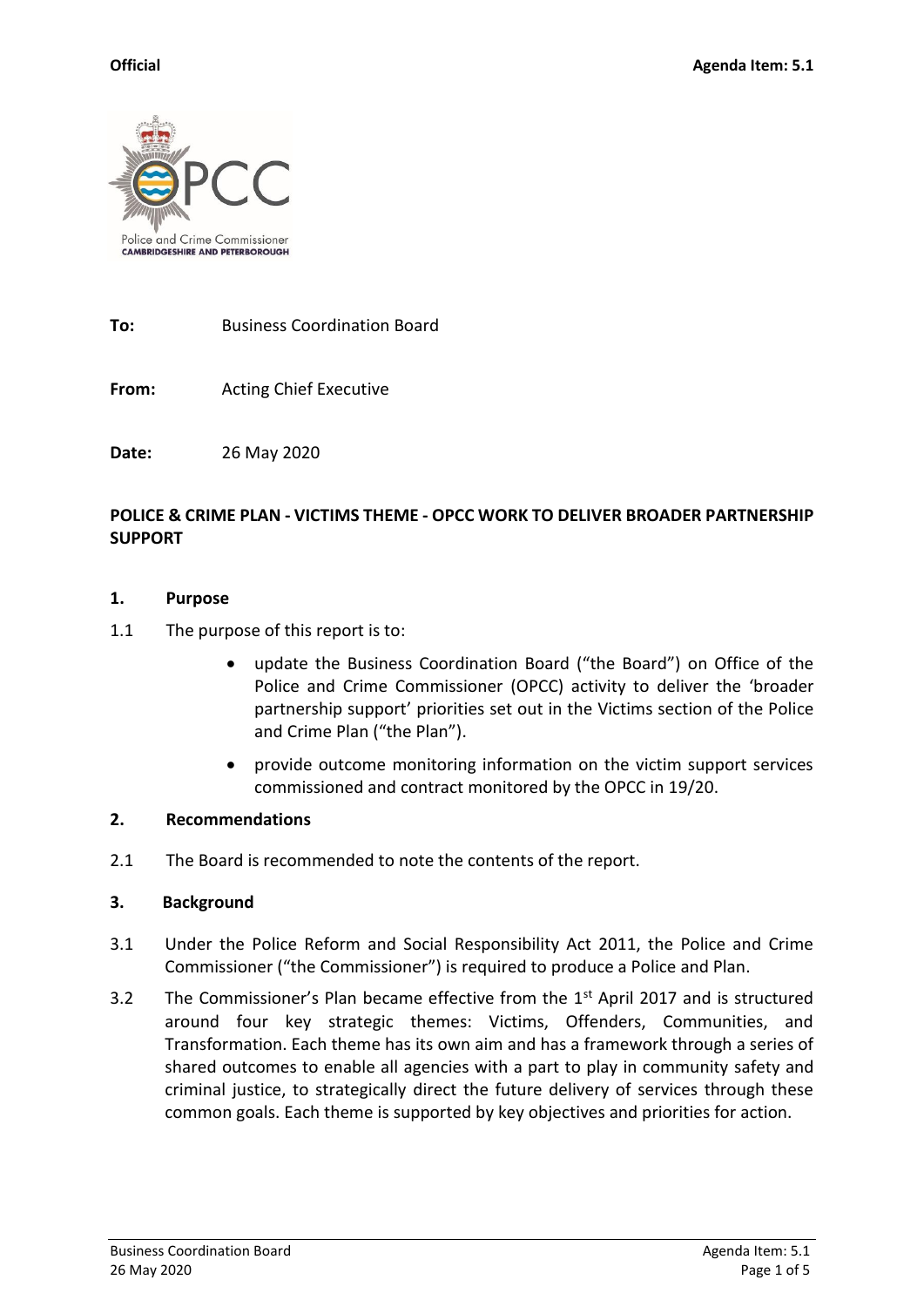

**To:** Business Coordination Board

**From:** Acting Chief Executive

**Date:** 26 May 2020

### **POLICE & CRIME PLAN - VICTIMS THEME - OPCC WORK TO DELIVER BROADER PARTNERSHIP SUPPORT**

#### **1. Purpose**

- 1.1 The purpose of this report is to:
	- update the Business Coordination Board ("the Board") on Office of the Police and Crime Commissioner (OPCC) activity to deliver the 'broader partnership support' priorities set out in the Victims section of the Police and Crime Plan ("the Plan").
	- provide outcome monitoring information on the victim support services commissioned and contract monitored by the OPCC in 19/20.

### **2. Recommendations**

2.1 The Board is recommended to note the contents of the report.

### **3. Background**

- 3.1 Under the Police Reform and Social Responsibility Act 2011, the Police and Crime Commissioner ("the Commissioner") is required to produce a Police and Plan.
- 3.2 The Commissioner's Plan became effective from the 1<sup>st</sup> April 2017 and is structured around four key strategic themes: Victims, Offenders, Communities, and Transformation. Each theme has its own aim and has a framework through a series of shared outcomes to enable all agencies with a part to play in community safety and criminal justice, to strategically direct the future delivery of services through these common goals. Each theme is supported by key objectives and priorities for action.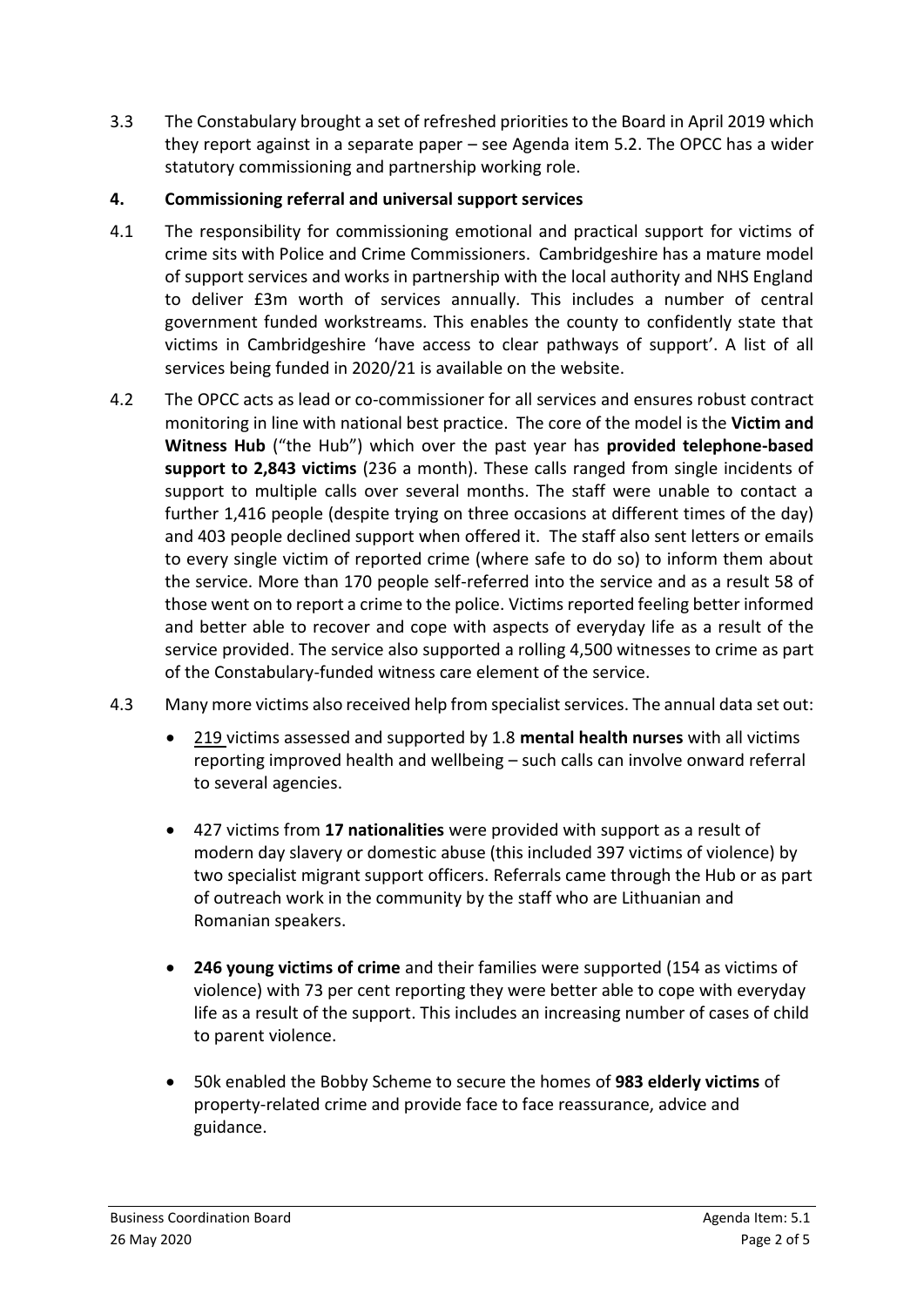3.3 The Constabulary brought a set of refreshed priorities to the Board in April 2019 which they report against in a separate paper – see Agenda item 5.2. The OPCC has a wider statutory commissioning and partnership working role.

# **4. Commissioning referral and universal support services**

- 4.1 The responsibility for commissioning emotional and practical support for victims of crime sits with Police and Crime Commissioners. Cambridgeshire has a mature model of support services and works in partnership with the local authority and NHS England to deliver £3m worth of services annually. This includes a number of central government funded workstreams. This enables the county to confidently state that victims in Cambridgeshire 'have access to clear pathways of support'. A list of all services being funded in 2020/21 is available on the website.
- 4.2 The OPCC acts as lead or co-commissioner for all services and ensures robust contract monitoring in line with national best practice. The core of the model is the **Victim and Witness Hub** ("the Hub") which over the past year has **provided telephone-based support to 2,843 victims** (236 a month). These calls ranged from single incidents of support to multiple calls over several months. The staff were unable to contact a further 1,416 people (despite trying on three occasions at different times of the day) and 403 people declined support when offered it. The staff also sent letters or emails to every single victim of reported crime (where safe to do so) to inform them about the service. More than 170 people self-referred into the service and as a result 58 of those went on to report a crime to the police. Victims reported feeling better informed and better able to recover and cope with aspects of everyday life as a result of the service provided. The service also supported a rolling 4,500 witnesses to crime as part of the Constabulary-funded witness care element of the service.
- 4.3 Many more victims also received help from specialist services. The annual data set out:
	- 219 victims assessed and supported by 1.8 **mental health nurses** with all victims reporting improved health and wellbeing – such calls can involve onward referral to several agencies.
	- 427 victims from **17 nationalities** were provided with support as a result of modern day slavery or domestic abuse (this included 397 victims of violence) by two specialist migrant support officers. Referrals came through the Hub or as part of outreach work in the community by the staff who are Lithuanian and Romanian speakers.
	- **246 young victims of crime** and their families were supported (154 as victims of violence) with 73 per cent reporting they were better able to cope with everyday life as a result of the support. This includes an increasing number of cases of child to parent violence.
	- 50k enabled the Bobby Scheme to secure the homes of **983 elderly victims** of property-related crime and provide face to face reassurance, advice and guidance.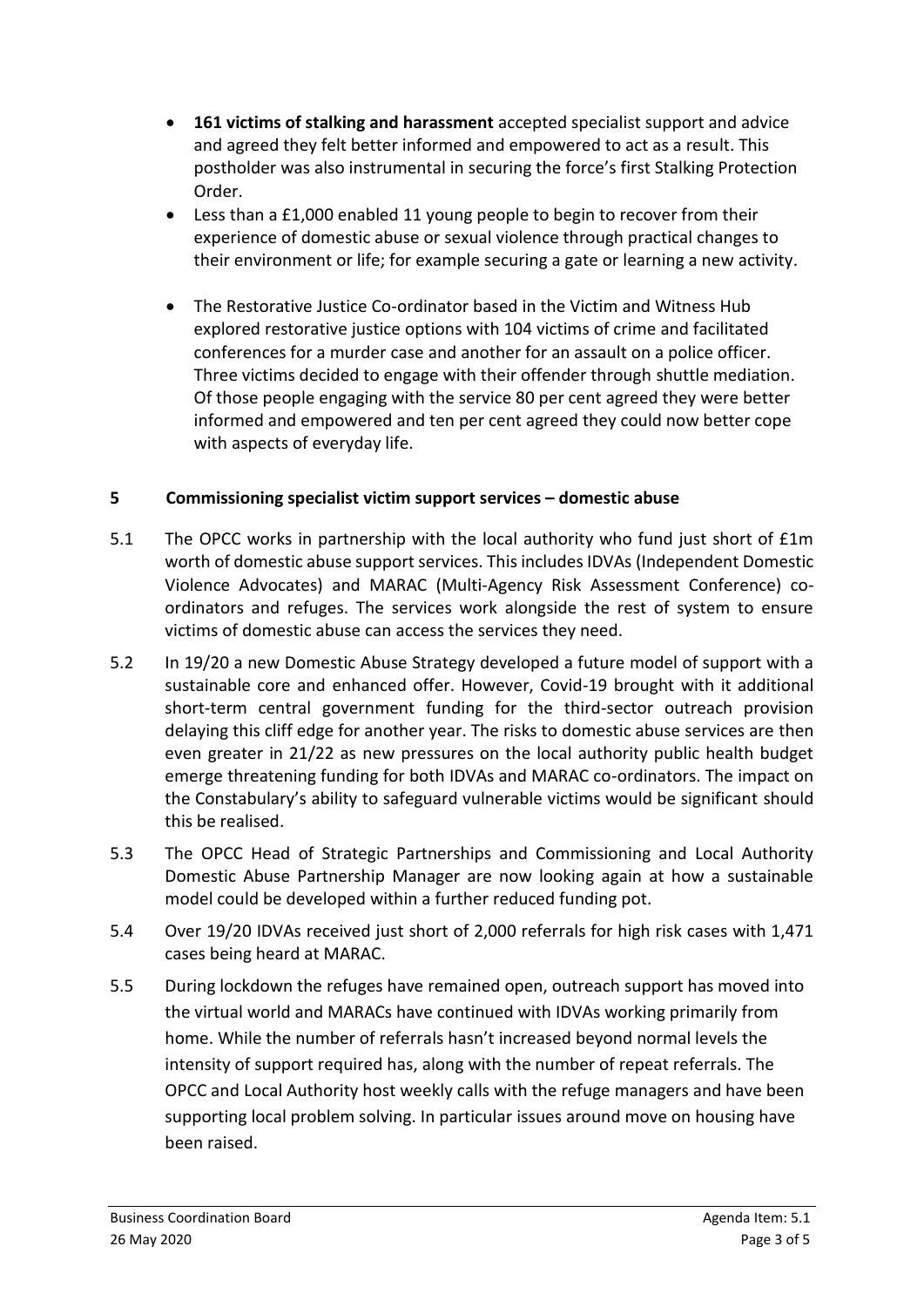- **161 victims of stalking and harassment** accepted specialist support and advice and agreed they felt better informed and empowered to act as a result. This postholder was also instrumental in securing the force's first Stalking Protection Order.
- Less than a £1,000 enabled 11 young people to begin to recover from their experience of domestic abuse or sexual violence through practical changes to their environment or life; for example securing a gate or learning a new activity.
- The Restorative Justice Co-ordinator based in the Victim and Witness Hub explored restorative justice options with 104 victims of crime and facilitated conferences for a murder case and another for an assault on a police officer. Three victims decided to engage with their offender through shuttle mediation. Of those people engaging with the service 80 per cent agreed they were better informed and empowered and ten per cent agreed they could now better cope with aspects of everyday life.

## **5 Commissioning specialist victim support services – domestic abuse**

- 5.1 The OPCC works in partnership with the local authority who fund just short of £1m worth of domestic abuse support services. This includes IDVAs (Independent Domestic Violence Advocates) and MARAC (Multi-Agency Risk Assessment Conference) coordinators and refuges. The services work alongside the rest of system to ensure victims of domestic abuse can access the services they need.
- 5.2 In 19/20 a new Domestic Abuse Strategy developed a future model of support with a sustainable core and enhanced offer. However, Covid-19 brought with it additional short-term central government funding for the third-sector outreach provision delaying this cliff edge for another year. The risks to domestic abuse services are then even greater in 21/22 as new pressures on the local authority public health budget emerge threatening funding for both IDVAs and MARAC co-ordinators. The impact on the Constabulary's ability to safeguard vulnerable victims would be significant should this be realised.
- 5.3 The OPCC Head of Strategic Partnerships and Commissioning and Local Authority Domestic Abuse Partnership Manager are now looking again at how a sustainable model could be developed within a further reduced funding pot.
- 5.4 Over 19/20 IDVAs received just short of 2,000 referrals for high risk cases with 1,471 cases being heard at MARAC.
- 5.5 During lockdown the refuges have remained open, outreach support has moved into the virtual world and MARACs have continued with IDVAs working primarily from home. While the number of referrals hasn't increased beyond normal levels the intensity of support required has, along with the number of repeat referrals. The OPCC and Local Authority host weekly calls with the refuge managers and have been supporting local problem solving. In particular issues around move on housing have been raised.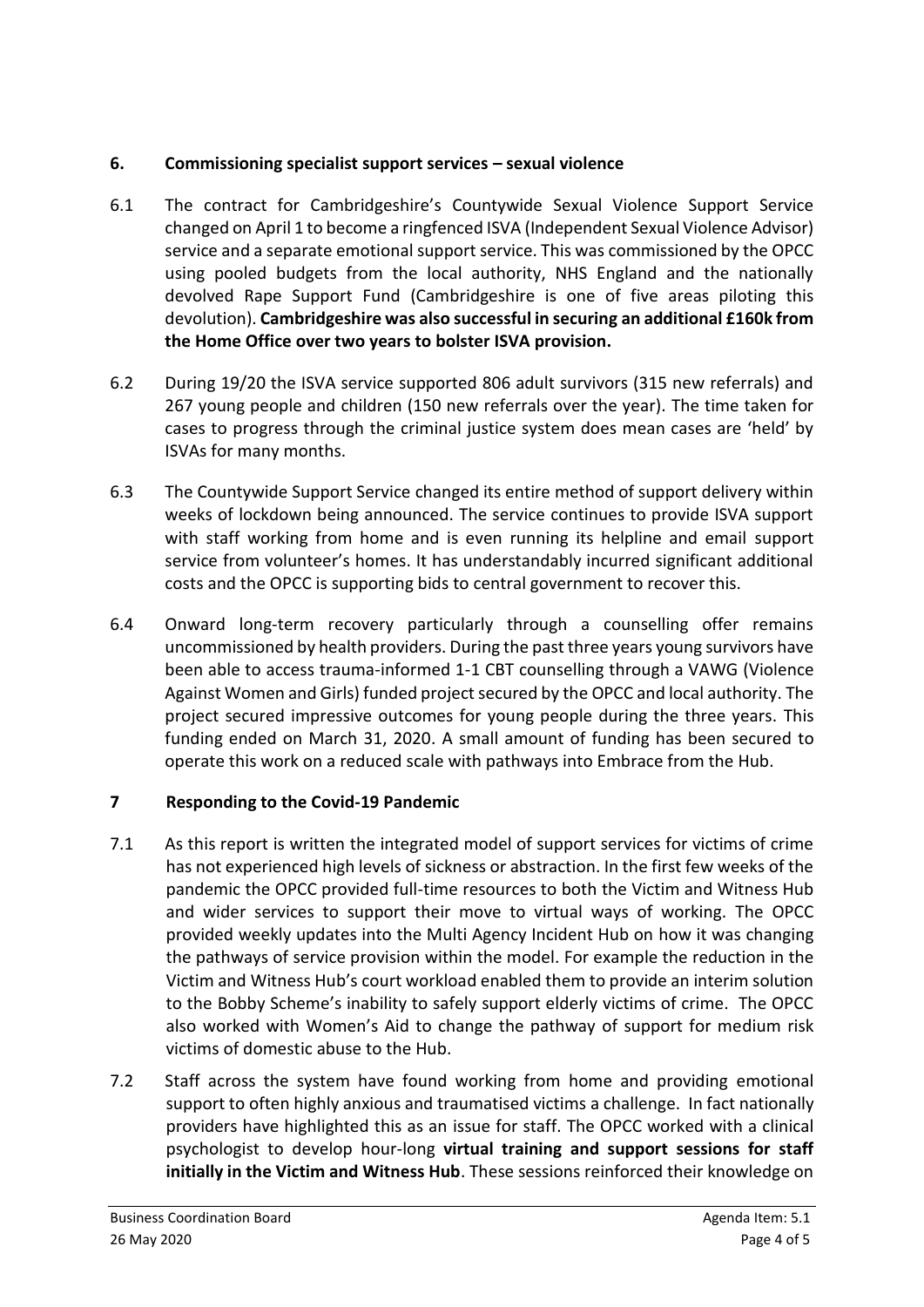## **6. Commissioning specialist support services – sexual violence**

- 6.1 The contract for Cambridgeshire's Countywide Sexual Violence Support Service changed on April 1 to become a ringfenced ISVA (Independent Sexual Violence Advisor) service and a separate emotional support service. This was commissioned by the OPCC using pooled budgets from the local authority, NHS England and the nationally devolved Rape Support Fund (Cambridgeshire is one of five areas piloting this devolution). **Cambridgeshire was also successful in securing an additional £160k from the Home Office over two years to bolster ISVA provision.**
- 6.2 During 19/20 the ISVA service supported 806 adult survivors (315 new referrals) and 267 young people and children (150 new referrals over the year). The time taken for cases to progress through the criminal justice system does mean cases are 'held' by ISVAs for many months.
- 6.3 The Countywide Support Service changed its entire method of support delivery within weeks of lockdown being announced. The service continues to provide ISVA support with staff working from home and is even running its helpline and email support service from volunteer's homes. It has understandably incurred significant additional costs and the OPCC is supporting bids to central government to recover this.
- 6.4 Onward long-term recovery particularly through a counselling offer remains uncommissioned by health providers. During the past three years young survivors have been able to access trauma-informed 1-1 CBT counselling through a VAWG (Violence Against Women and Girls) funded project secured by the OPCC and local authority. The project secured impressive outcomes for young people during the three years. This funding ended on March 31, 2020. A small amount of funding has been secured to operate this work on a reduced scale with pathways into Embrace from the Hub.

## **7 Responding to the Covid-19 Pandemic**

- 7.1 As this report is written the integrated model of support services for victims of crime has not experienced high levels of sickness or abstraction. In the first few weeks of the pandemic the OPCC provided full-time resources to both the Victim and Witness Hub and wider services to support their move to virtual ways of working. The OPCC provided weekly updates into the Multi Agency Incident Hub on how it was changing the pathways of service provision within the model. For example the reduction in the Victim and Witness Hub's court workload enabled them to provide an interim solution to the Bobby Scheme's inability to safely support elderly victims of crime. The OPCC also worked with Women's Aid to change the pathway of support for medium risk victims of domestic abuse to the Hub.
- 7.2 Staff across the system have found working from home and providing emotional support to often highly anxious and traumatised victims a challenge. In fact nationally providers have highlighted this as an issue for staff. The OPCC worked with a clinical psychologist to develop hour-long **virtual training and support sessions for staff initially in the Victim and Witness Hub**. These sessions reinforced their knowledge on